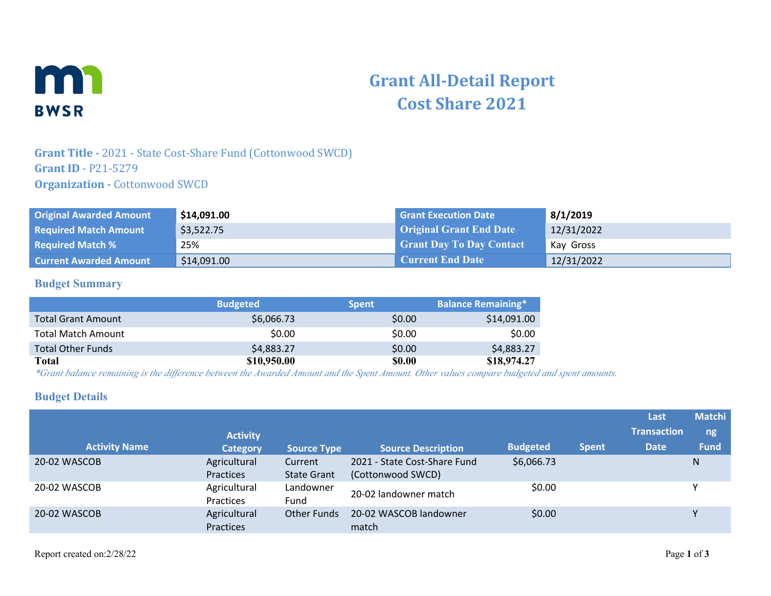

# **Grant All-Detail Report Cost Share 2021**

## **Grant Title -** 2021 - State Cost-Share Fund (Cottonwood SWCD) **Grant ID** - P21-5279 **Organization - Cottonwood SWCD**

| <b>Original Awarded Amount</b> | \$14,091.00 | <b>Grant Execution Date</b>     | 8/1/2019   |
|--------------------------------|-------------|---------------------------------|------------|
| <b>Required Match Amount</b>   | \$3,522.75  | <b>Original Grant End Date</b>  | 12/31/2022 |
| <b>Required Match %</b>        | 25%         | <b>Grant Day To Day Contact</b> | Kay Gross  |
| <b>Current Awarded Amount</b>  | \$14,091.00 | <b>Current End Date</b>         | 12/31/2022 |

#### **Budget Summary**

|                           | <b>Budgeted</b> | <b>Spent</b>  | <b>Balance Remaining*</b> |
|---------------------------|-----------------|---------------|---------------------------|
| <b>Total Grant Amount</b> | \$6,066.73      | \$0.00        | \$14,091.00               |
| <b>Total Match Amount</b> | \$0.00          | \$0.00        | \$0.00                    |
| <b>Total Other Funds</b>  | \$4,883.27      | \$0.00        | \$4,883.27                |
| Total                     | \$10,950.00     | <b>\$0.00</b> | \$18,974.27               |

*\*Grant balance remaining is the difference between the Awarded Amount and the Spent Amount. Other values compare budgeted and spent amounts.*

#### **Budget Details**

|                      |                           |                               |                                                   |                 |              | Last               | <b>Matchi</b> |
|----------------------|---------------------------|-------------------------------|---------------------------------------------------|-----------------|--------------|--------------------|---------------|
|                      | <b>Activity</b>           |                               |                                                   |                 |              | <b>Transaction</b> | ng            |
| <b>Activity Name</b> | <b>Category</b>           | <b>Source Type</b>            | <b>Source Description</b>                         | <b>Budgeted</b> | <b>Spent</b> | <b>Date</b>        | <b>Fund</b>   |
| 20-02 WASCOB         | Agricultural<br>Practices | Current<br><b>State Grant</b> | 2021 - State Cost-Share Fund<br>(Cottonwood SWCD) | \$6,066.73      |              |                    | N             |
| 20-02 WASCOB         | Agricultural<br>Practices | Landowner<br>Fund             | 20-02 landowner match                             | \$0.00          |              |                    |               |
| 20-02 WASCOB         | Agricultural<br>Practices | <b>Other Funds</b>            | 20-02 WASCOB landowner<br>match                   | \$0.00          |              |                    |               |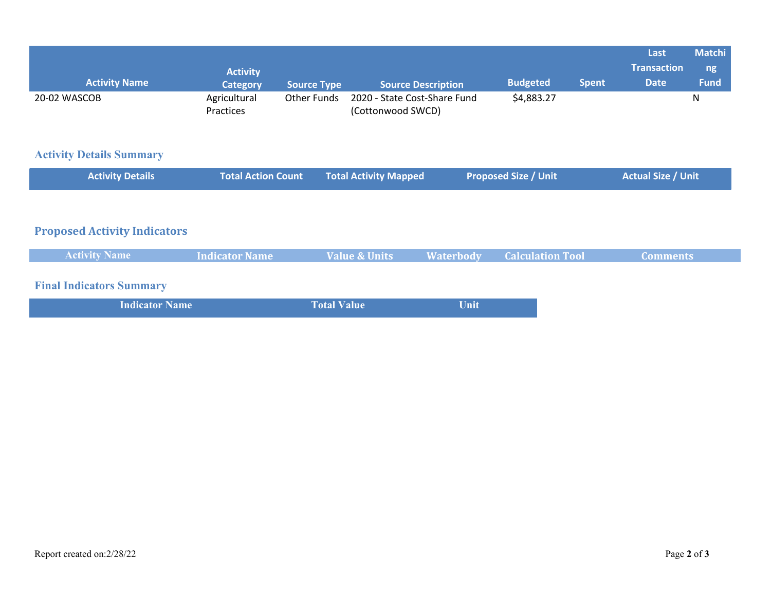| <b>Activity Name</b>                | <b>Activity</b><br><b>Category</b> | <b>Source Type</b> | <b>Source Description</b>                         |                  | <b>Budgeted</b>             | <b>Spent</b> | Last<br><b>Transaction</b><br><b>Date</b> | <b>Matchi</b><br>ng<br><b>Fund</b> |
|-------------------------------------|------------------------------------|--------------------|---------------------------------------------------|------------------|-----------------------------|--------------|-------------------------------------------|------------------------------------|
| 20-02 WASCOB                        | Agricultural<br>Practices          | <b>Other Funds</b> | 2020 - State Cost-Share Fund<br>(Cottonwood SWCD) |                  | \$4,883.27                  |              |                                           | N                                  |
| <b>Activity Details Summary</b>     |                                    |                    |                                                   |                  |                             |              |                                           |                                    |
| <b>Activity Details</b>             | <b>Total Action Count</b>          |                    | <b>Total Activity Mapped</b>                      |                  | <b>Proposed Size / Unit</b> |              | <b>Actual Size / Unit</b>                 |                                    |
|                                     |                                    |                    |                                                   |                  |                             |              |                                           |                                    |
| <b>Proposed Activity Indicators</b> |                                    |                    |                                                   |                  |                             |              |                                           |                                    |
| <b>Activity Name</b>                | <b>Indicator Name</b>              |                    | <b>Value &amp; Units</b>                          | <b>Waterbody</b> | <b>Calculation Tool</b>     |              | <b>Comments</b>                           |                                    |
| <b>Final Indicators Summary</b>     |                                    |                    |                                                   |                  |                             |              |                                           |                                    |
| <b>Indicator Name</b>               |                                    | <b>Total Value</b> |                                                   | Unit             |                             |              |                                           |                                    |